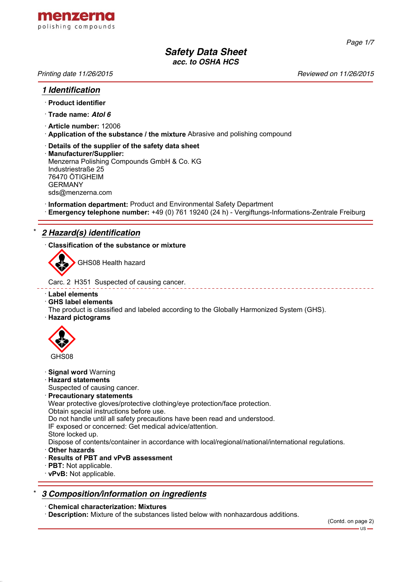

*Page 1/7*

# *Safety Data Sheet acc. to OSHA HCS*

*Printing date 11/26/2015 Reviewed on 11/26/2015*

### *1 Identification*

- · **Product identifier**
- · **Trade name:** *Atol 6*
- · **Article number:** 12006
- · **Application of the substance / the mixture** Abrasive and polishing compound
- · **Details of the supplier of the safety data sheet** · **Manufacturer/Supplier:** Menzerna Polishing Compounds GmbH & Co. KG Industriestraße 25 76470 ÖTIGHEIM GERMANY sds@menzerna.com
- · **Information department:** Product and Environmental Safety Department
- · **Emergency telephone number:** +49 (0) 761 19240 (24 h) Vergiftungs-Informations-Zentrale Freiburg

# \* *2 Hazard(s) identification*

· **Classification of the substance or mixture**



GHS08 Health hazard

Carc. 2 H351 Suspected of causing cancer.

- · **Label elements**
- · **GHS label elements**
- The product is classified and labeled according to the Globally Harmonized System (GHS).
- · **Hazard pictograms**



- · **Signal word** Warning
- · **Hazard statements**
- Suspected of causing cancer.
- · **Precautionary statements**

Wear protective gloves/protective clothing/eye protection/face protection.

Obtain special instructions before use.

Do not handle until all safety precautions have been read and understood.

IF exposed or concerned: Get medical advice/attention.

Store locked up.

Dispose of contents/container in accordance with local/regional/national/international regulations.

- · **Other hazards**
- · **Results of PBT and vPvB assessment**
- · **PBT:** Not applicable.
- · **vPvB:** Not applicable.

## \* *3 Composition/information on ingredients*

### · **Chemical characterization: Mixtures**

· **Description:** Mixture of the substances listed below with nonhazardous additions.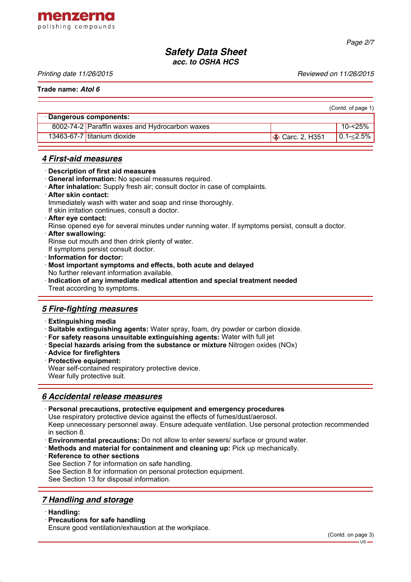

*Page 2/7*

# *Safety Data Sheet acc. to OSHA HCS*

*Printing date 11/26/2015 Reviewed on 11/26/2015*

**Trade name:** *Atol 6*

|                         |                                                |                         | (Contd. of page 1) |
|-------------------------|------------------------------------------------|-------------------------|--------------------|
| · Dangerous components: |                                                |                         |                    |
|                         | 8002-74-2 Paraffin waxes and Hydrocarbon waxes |                         | 10-<25%            |
|                         | 13463-67-7 titanium dioxide                    | $\otimes$ Carc. 2, H351 | $0.1 - 2.5\%$      |

### *4 First-aid measures*

- · **Description of first aid measures**
- · **General information:** No special measures required.
- · **After inhalation:** Supply fresh air; consult doctor in case of complaints.
- · **After skin contact:** Immediately wash with water and soap and rinse thoroughly.

If skin irritation continues, consult a doctor.

- · **After eye contact:**
- Rinse opened eye for several minutes under running water. If symptoms persist, consult a doctor.
- · **After swallowing:**
- Rinse out mouth and then drink plenty of water.
- If symptoms persist consult doctor.
- · **Information for doctor:**
- · **Most important symptoms and effects, both acute and delayed** No further relevant information available.
- · **Indication of any immediate medical attention and special treatment needed** Treat according to symptoms.

### *5 Fire-fighting measures*

- · **Extinguishing media**
- · **Suitable extinguishing agents:** Water spray, foam, dry powder or carbon dioxide.
- · **For safety reasons unsuitable extinguishing agents:** Water with full jet
- · **Special hazards arising from the substance or mixture** Nitrogen oxides (NOx)
- · **Advice for firefighters**
- · **Protective equipment:**

Wear self-contained respiratory protective device.

Wear fully protective suit.

## *6 Accidental release measures*

· **Personal precautions, protective equipment and emergency procedures**

Use respiratory protective device against the effects of fumes/dust/aerosol.

Keep unnecessary personnel away. Ensure adequate ventilation. Use personal protection recommended in section 8.

- · **Environmental precautions:** Do not allow to enter sewers/ surface or ground water.
- · **Methods and material for containment and cleaning up:** Pick up mechanically.

**Reference to other sections** 

- See Section 7 for information on safe handling.
- See Section 8 for information on personal protection equipment.

See Section 13 for disposal information.

## *7 Handling and storage*

- · **Handling:**
- · **Precautions for safe handling**

Ensure good ventilation/exhaustion at the workplace.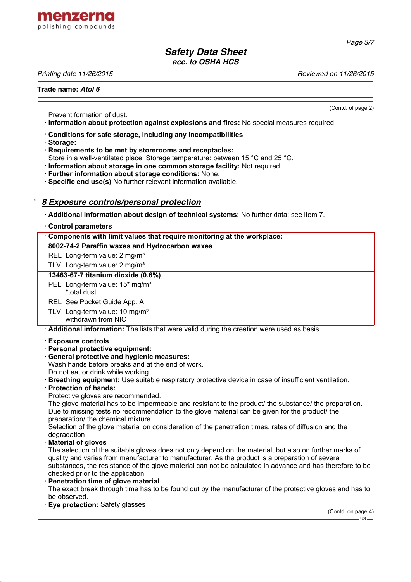

# *Safety Data Sheet acc. to OSHA HCS*

*Printing date 11/26/2015 Reviewed on 11/26/2015*

#### **Trade name:** *Atol 6*

Prevent formation of dust.

· **Information about protection against explosions and fires:** No special measures required.

- · **Conditions for safe storage, including any incompatibilities**
- · **Storage:**

· **Requirements to be met by storerooms and receptacles:**

Store in a well-ventilated place. Storage temperature: between 15 °C and 25 °C.

· **Information about storage in one common storage facility:** Not required.

· **Further information about storage conditions:** None.

· **Specific end use(s)** No further relevant information available.

# \* *8 Exposure controls/personal protection*

· **Additional information about design of technical systems:** No further data; see item 7.

|  |  | <b>Control parameters</b> |
|--|--|---------------------------|
|--|--|---------------------------|

|                                                                        | <u>sona or paramotoro</u>                                                                 |  |  |
|------------------------------------------------------------------------|-------------------------------------------------------------------------------------------|--|--|
| Components with limit values that require monitoring at the workplace: |                                                                                           |  |  |
| 8002-74-2 Paraffin waxes and Hydrocarbon waxes                         |                                                                                           |  |  |
|                                                                        | REL Long-term value: $2 \text{ mg/m}^3$                                                   |  |  |
|                                                                        | TLV Long-term value: $2 \text{ mg/m}^3$                                                   |  |  |
| 13463-67-7 titanium dioxide (0.6%)                                     |                                                                                           |  |  |
|                                                                        | PEL Long-term value: 15 <sup>*</sup> mg/m <sup>3</sup><br>*total dust                     |  |  |
|                                                                        | REL See Pocket Guide App. A                                                               |  |  |
|                                                                        | TLV   Long-term value: 10 mg/m <sup>3</sup><br>withdrawn from NIC                         |  |  |
|                                                                        | Additional information: The lists that were valid during the creation were used as basis. |  |  |

· **Exposure controls**

- · **Personal protective equipment:**
- · **General protective and hygienic measures:**

Wash hands before breaks and at the end of work.

- Do not eat or drink while working.
- · **Breathing equipment:** Use suitable respiratory protective device in case of insufficient ventilation.
- · **Protection of hands:**

Protective gloves are recommended.

The glove material has to be impermeable and resistant to the product/ the substance/ the preparation. Due to missing tests no recommendation to the glove material can be given for the product/ the preparation/ the chemical mixture.

Selection of the glove material on consideration of the penetration times, rates of diffusion and the degradation

#### · **Material of gloves**

The selection of the suitable gloves does not only depend on the material, but also on further marks of quality and varies from manufacturer to manufacturer. As the product is a preparation of several substances, the resistance of the glove material can not be calculated in advance and has therefore to be checked prior to the application.

#### **Penetration time of glove material**

The exact break through time has to be found out by the manufacturer of the protective gloves and has to be observed.

· **Eye protection:** Safety glasses

(Contd. of page 2)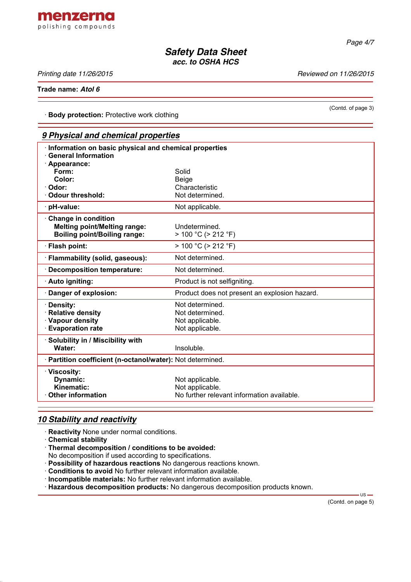

*Safety Data Sheet acc. to OSHA HCS*

*Printing date 11/26/2015 Reviewed on 11/26/2015*

(Contd. of page 3)

**Trade name:** *Atol 6*

· **Body protection:** Protective work clothing

|                                                                                                   | 9 Physical and chemical properties            |  |  |  |
|---------------------------------------------------------------------------------------------------|-----------------------------------------------|--|--|--|
| Information on basic physical and chemical properties<br><b>General Information</b>               |                                               |  |  |  |
| · Appearance:<br>Form:                                                                            | Solid                                         |  |  |  |
| Color:                                                                                            | <b>Beige</b>                                  |  |  |  |
| Odor:                                                                                             | Characteristic                                |  |  |  |
| <b>Odour threshold:</b>                                                                           | Not determined.                               |  |  |  |
| · pH-value:                                                                                       | Not applicable.                               |  |  |  |
| Change in condition<br><b>Melting point/Melting range:</b><br><b>Boiling point/Boiling range:</b> | Undetermined.<br>$> 100 °C$ ( $> 212 °F$ )    |  |  |  |
| · Flash point:                                                                                    | $> 100 °C$ ( $> 212 °F$ )                     |  |  |  |
| · Flammability (solid, gaseous):                                                                  | Not determined.                               |  |  |  |
| Decomposition temperature:                                                                        | Not determined.                               |  |  |  |
| · Auto igniting:                                                                                  | Product is not selfigniting.                  |  |  |  |
| Danger of explosion:                                                                              | Product does not present an explosion hazard. |  |  |  |
| · Density:                                                                                        | Not determined.                               |  |  |  |
| · Relative density                                                                                | Not determined.                               |  |  |  |
| · Vapour density                                                                                  | Not applicable.                               |  |  |  |
| <b>Evaporation rate</b>                                                                           | Not applicable.                               |  |  |  |
| · Solubility in / Miscibility with                                                                |                                               |  |  |  |
| Water:                                                                                            | Insoluble.                                    |  |  |  |
| · Partition coefficient (n-octanol/water): Not determined.                                        |                                               |  |  |  |
| · Viscosity:                                                                                      |                                               |  |  |  |
| Dynamic:                                                                                          | Not applicable.                               |  |  |  |
| Kinematic:                                                                                        | Not applicable.                               |  |  |  |
| <b>Other information</b>                                                                          | No further relevant information available.    |  |  |  |

## *10 Stability and reactivity*

· **Reactivity** None under normal conditions.

- · **Chemical stability**
- · **Thermal decomposition / conditions to be avoided:**
- No decomposition if used according to specifications.
- · **Possibility of hazardous reactions** No dangerous reactions known.
- · **Conditions to avoid** No further relevant information available.
- · **Incompatible materials:** No further relevant information available.
- · **Hazardous decomposition products:** No dangerous decomposition products known.

(Contd. on page 5)

 $-$ us —

*Page 4/7*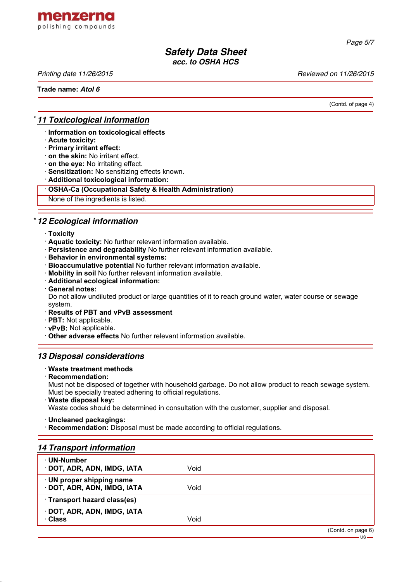

*Page 5/7*

# *Safety Data Sheet acc. to OSHA HCS*

*Printing date 11/26/2015 Reviewed on 11/26/2015*

**Trade name:** *Atol 6*

(Contd. of page 4)

 $US -$ 

## \* *11 Toxicological information*

· **Information on toxicological effects**

- · **Acute toxicity:**
- · **Primary irritant effect:**
- · **on the skin:** No irritant effect.
- · **on the eye:** No irritating effect.
- · **Sensitization:** No sensitizing effects known.
- · **Additional toxicological information:**

#### · **OSHA-Ca (Occupational Safety & Health Administration)**

None of the ingredients is listed.

## \* *12 Ecological information*

- · **Toxicity**
- · **Aquatic toxicity:** No further relevant information available.
- · **Persistence and degradability** No further relevant information available.
- · **Behavior in environmental systems:**
- · **Bioaccumulative potential** No further relevant information available.
- · **Mobility in soil** No further relevant information available.
- · **Additional ecological information:**
- · **General notes:**

Do not allow undiluted product or large quantities of it to reach ground water, water course or sewage system.

#### · **Results of PBT and vPvB assessment**

- · **PBT:** Not applicable.
- · **vPvB:** Not applicable.

· **Other adverse effects** No further relevant information available.

### *13 Disposal considerations*

#### · **Waste treatment methods**

· **Recommendation:**

Must not be disposed of together with household garbage. Do not allow product to reach sewage system. Must be specially treated adhering to official regulations.

· **Waste disposal key:**

Waste codes should be determined in consultation with the customer, supplier and disposal.

· **Uncleaned packagings:**

· **Recommendation:** Disposal must be made according to official regulations.

| <b>14 Transport information</b>                        |      |                    |
|--------------------------------------------------------|------|--------------------|
| ⋅ UN-Number<br>DOT, ADR, ADN, IMDG, IATA               | Void |                    |
| · UN proper shipping name<br>DOT, ADR, ADN, IMDG, IATA | Void |                    |
| · Transport hazard class(es)                           |      |                    |
| · DOT, ADR, ADN, IMDG, IATA<br>· Class                 | Void |                    |
|                                                        |      | (Contd. on page 6) |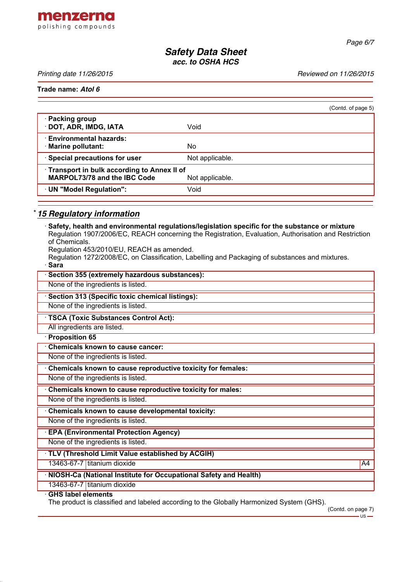

*Safety Data Sheet acc. to OSHA HCS*

*Printing date 11/26/2015 Reviewed on 11/26/2015*

**Trade name:** *Atol 6*

|                                                                                               |                 | (Contd. of page 5) |
|-----------------------------------------------------------------------------------------------|-----------------|--------------------|
| · Packing group<br>· DOT, ADR, IMDG, IATA                                                     | Void            |                    |
| · Environmental hazards:<br>· Marine pollutant:                                               | No              |                    |
| · Special precautions for user                                                                | Not applicable. |                    |
| Transport in bulk according to Annex II of<br>MARPOL73/78 and the IBC Code<br>Not applicable. |                 |                    |
| · UN "Model Regulation":                                                                      | Void            |                    |
|                                                                                               |                 |                    |

## \* *15 Regulatory information*

· **Safety, health and environmental regulations/legislation specific for the substance or mixture** Regulation 1907/2006/EC, REACH concerning the Registration, Evaluation, Authorisation and Restriction of Chemicals. Regulation 453/2010/EU, REACH as amended. Regulation 1272/2008/EC, on Classification, Labelling and Packaging of substances and mixtures. · **Sara** · **Section 355 (extremely hazardous substances):** None of the ingredients is listed. · **Section 313 (Specific toxic chemical listings):** None of the ingredients is listed. · **TSCA (Toxic Substances Control Act):** All ingredients are listed. · **Proposition 65** · **Chemicals known to cause cancer:** None of the ingredients is listed. · **Chemicals known to cause reproductive toxicity for females:** None of the ingredients is listed. · **Chemicals known to cause reproductive toxicity for males:** None of the ingredients is listed. · **Chemicals known to cause developmental toxicity:** None of the ingredients is listed. · **EPA (Environmental Protection Agency)** None of the ingredients is listed. · **TLV (Threshold Limit Value established by ACGIH)** 13463-67-7 titanium dioxide A4 and the A4 and the A4 and the A4 and the A4 and the A4 and the A4 and the A4 and the A4 and the A4 and the A4 and the A4 and the A4 and the A4 and the A4 and the A4 and the A4 and the A4 and · **NIOSH-Ca (National Institute for Occupational Safety and Health)** 13463-67-7 titanium dioxide · **GHS label elements**

The product is classified and labeled according to the Globally Harmonized System (GHS).

(Contd. on page 7) -us-

*Page 6/7*